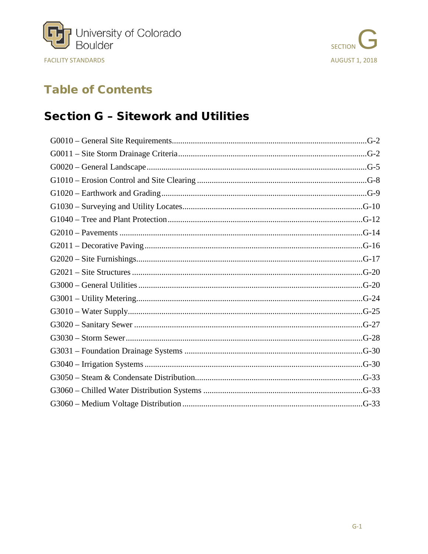



# **Table of Contents**

# **Section G - Sitework and Utilities**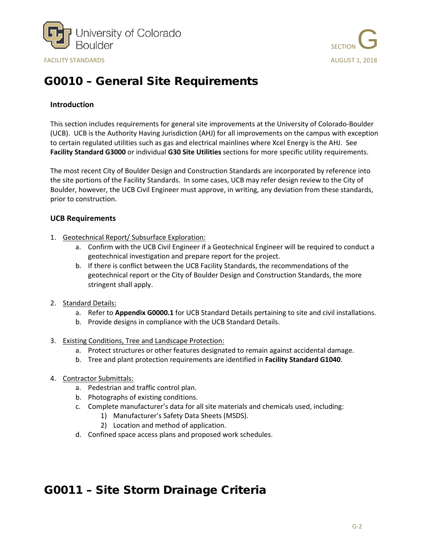



# <span id="page-1-0"></span>G0010 – General Site Requirements

#### **Introduction**

This section includes requirements for general site improvements at the University of Colorado-Boulder (UCB). UCB is the Authority Having Jurisdiction (AHJ) for all improvements on the campus with exception to certain regulated utilities such as gas and electrical mainlines where Xcel Energy is the AHJ. See **Facility Standard G3000** or individual **G30 Site Utilities** sections for more specific utility requirements.

The most recent City of Boulder Design and Construction Standards are incorporated by reference into the site portions of the Facility Standards. In some cases, UCB may refer design review to the City of Boulder, however, the UCB Civil Engineer must approve, in writing, any deviation from these standards, prior to construction.

#### **UCB Requirements**

- 1. Geotechnical Report/ Subsurface Exploration:
	- a. Confirm with the UCB Civil Engineer if a Geotechnical Engineer will be required to conduct a geotechnical investigation and prepare report for the project.
	- b. If there is conflict between the UCB Facility Standards, the recommendations of the geotechnical report or the City of Boulder Design and Construction Standards, the more stringent shall apply.
- 2. Standard Details:
	- a. Refer to **Appendix G0000.1** for UCB Standard Details pertaining to site and civil installations.
	- b. Provide designs in compliance with the UCB Standard Details.
- 3. Existing Conditions, Tree and Landscape Protection:
	- a. Protect structures or other features designated to remain against accidental damage.
	- b. Tree and plant protection requirements are identified in **Facility Standard G1040**.
- 4. Contractor Submittals:
	- a. Pedestrian and traffic control plan.
	- b. Photographs of existing conditions.
	- c. Complete manufacturer's data for all site materials and chemicals used, including:
		- 1) Manufacturer's Safety Data Sheets (MSDS).
		- 2) Location and method of application.
	- d. Confined space access plans and proposed work schedules.

### <span id="page-1-1"></span>G0011 – Site Storm Drainage Criteria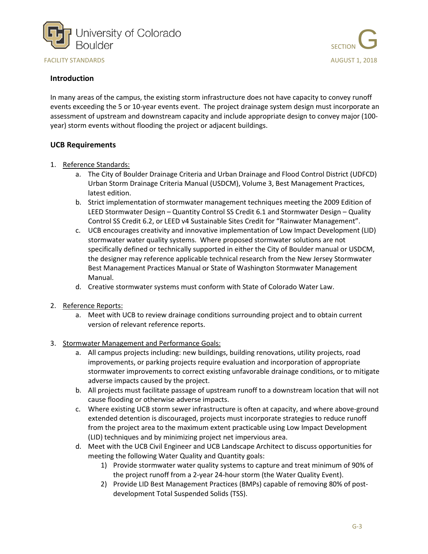



#### **Introduction**

In many areas of the campus, the existing storm infrastructure does not have capacity to convey runoff events exceeding the 5 or 10-year events event. The project drainage system design must incorporate an assessment of upstream and downstream capacity and include appropriate design to convey major (100 year) storm events without flooding the project or adjacent buildings.

- 1. Reference Standards:
	- a. The City of Boulder Drainage Criteria and Urban Drainage and Flood Control District (UDFCD) Urban Storm Drainage Criteria Manual (USDCM), Volume 3, Best Management Practices, latest edition.
	- b. Strict implementation of stormwater management techniques meeting the 2009 Edition of LEED Stormwater Design – Quantity Control SS Credit 6.1 and Stormwater Design – Quality Control SS Credit 6.2, or LEED v4 Sustainable Sites Credit for "Rainwater Management".
	- c. UCB encourages creativity and innovative implementation of Low Impact Development (LID) stormwater water quality systems. Where proposed stormwater solutions are not specifically defined or technically supported in either the City of Boulder manual or USDCM, the designer may reference applicable technical research from the New Jersey Stormwater Best Management Practices Manual or State of Washington Stormwater Management Manual.
	- d. Creative stormwater systems must conform with State of Colorado Water Law.
- 2. Reference Reports:
	- a. Meet with UCB to review drainage conditions surrounding project and to obtain current version of relevant reference reports.
- 3. Stormwater Management and Performance Goals:
	- a. All campus projects including: new buildings, building renovations, utility projects, road improvements, or parking projects require evaluation and incorporation of appropriate stormwater improvements to correct existing unfavorable drainage conditions, or to mitigate adverse impacts caused by the project.
	- b. All projects must facilitate passage of upstream runoff to a downstream location that will not cause flooding or otherwise adverse impacts.
	- c. Where existing UCB storm sewer infrastructure is often at capacity, and where above-ground extended detention is discouraged, projects must incorporate strategies to reduce runoff from the project area to the maximum extent practicable using Low Impact Development (LID) techniques and by minimizing project net impervious area.
	- d. Meet with the UCB Civil Engineer and UCB Landscape Architect to discuss opportunities for meeting the following Water Quality and Quantity goals:
		- 1) Provide stormwater water quality systems to capture and treat minimum of 90% of the project runoff from a 2-year 24-hour storm (the Water Quality Event).
		- 2) Provide LID Best Management Practices (BMPs) capable of removing 80% of postdevelopment Total Suspended Solids (TSS).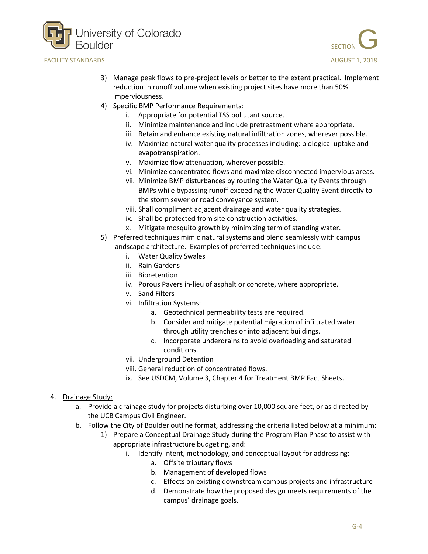



- 3) Manage peak flows to pre-project levels or better to the extent practical. Implement reduction in runoff volume when existing project sites have more than 50% imperviousness.
- 4) Specific BMP Performance Requirements:
	- i. Appropriate for potential TSS pollutant source.
	- ii. Minimize maintenance and include pretreatment where appropriate.
	- iii. Retain and enhance existing natural infiltration zones, wherever possible.
	- iv. Maximize natural water quality processes including: biological uptake and evapotranspiration.
	- v. Maximize flow attenuation, wherever possible.
	- vi. Minimize concentrated flows and maximize disconnected impervious areas.
	- vii. Minimize BMP disturbances by routing the Water Quality Events through BMPs while bypassing runoff exceeding the Water Quality Event directly to the storm sewer or road conveyance system.
	- viii. Shall compliment adjacent drainage and water quality strategies.
	- ix. Shall be protected from site construction activities.
	- x. Mitigate mosquito growth by minimizing term of standing water.
- 5) Preferred techniques mimic natural systems and blend seamlessly with campus landscape architecture. Examples of preferred techniques include:
	- i. Water Quality Swales
	- ii. Rain Gardens
	- iii. Bioretention
	- iv. Porous Pavers in-lieu of asphalt or concrete, where appropriate.
	- v. Sand Filters
	- vi. Infiltration Systems:
		- a. Geotechnical permeability tests are required.
		- b. Consider and mitigate potential migration of infiltrated water through utility trenches or into adjacent buildings.
		- c. Incorporate underdrains to avoid overloading and saturated conditions.
	- vii. Underground Detention
	- viii. General reduction of concentrated flows.
	- ix. See USDCM, Volume 3, Chapter 4 for Treatment BMP Fact Sheets.
- 4. Drainage Study:
	- a. Provide a drainage study for projects disturbing over 10,000 square feet, or as directed by the UCB Campus Civil Engineer.
	- b. Follow the City of Boulder outline format, addressing the criteria listed below at a minimum:
		- 1) Prepare a Conceptual Drainage Study during the Program Plan Phase to assist with appropriate infrastructure budgeting, and:
			- i. Identify intent, methodology, and conceptual layout for addressing:
				- a. Offsite tributary flows
				- b. Management of developed flows
				- c. Effects on existing downstream campus projects and infrastructure
				- d. Demonstrate how the proposed design meets requirements of the campus' drainage goals.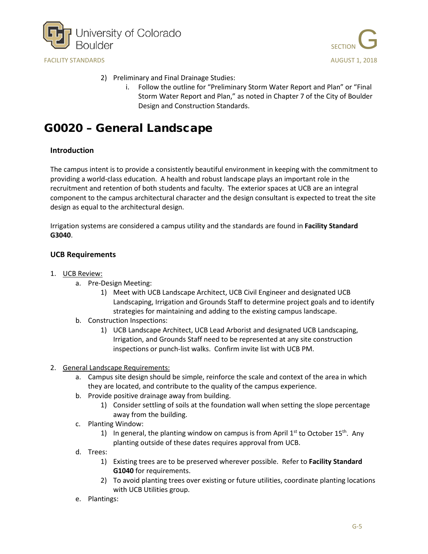



- 2) Preliminary and Final Drainage Studies:
	- i. Follow the outline for "Preliminary Storm Water Report and Plan" or "Final Storm Water Report and Plan," as noted in Chapter 7 of the City of Boulder Design and Construction Standards.

## <span id="page-4-0"></span>G0020 – General Landscape

#### **Introduction**

The campus intent is to provide a consistently beautiful environment in keeping with the commitment to providing a world-class education. A health and robust landscape plays an important role in the recruitment and retention of both students and faculty. The exterior spaces at UCB are an integral component to the campus architectural character and the design consultant is expected to treat the site design as equal to the architectural design.

Irrigation systems are considered a campus utility and the standards are found in **Facility Standard G3040**.

- 1. UCB Review:
	- a. Pre-Design Meeting:
		- 1) Meet with UCB Landscape Architect, UCB Civil Engineer and designated UCB Landscaping, Irrigation and Grounds Staff to determine project goals and to identify strategies for maintaining and adding to the existing campus landscape.
	- b. Construction Inspections:
		- 1) UCB Landscape Architect, UCB Lead Arborist and designated UCB Landscaping, Irrigation, and Grounds Staff need to be represented at any site construction inspections or punch-list walks. Confirm invite list with UCB PM.
- 2. General Landscape Requirements:
	- a. Campus site design should be simple, reinforce the scale and context of the area in which they are located, and contribute to the quality of the campus experience.
	- b. Provide positive drainage away from building.
		- 1) Consider settling of soils at the foundation wall when setting the slope percentage away from the building.
	- c. Planting Window:
		- 1) In general, the planting window on campus is from April  $1<sup>st</sup>$  to October  $15<sup>th</sup>$ . Any planting outside of these dates requires approval from UCB.
	- d. Trees:
		- 1) Existing trees are to be preserved wherever possible. Refer to **Facility Standard G1040** for requirements.
		- 2) To avoid planting trees over existing or future utilities, coordinate planting locations with UCB Utilities group.
	- e. Plantings: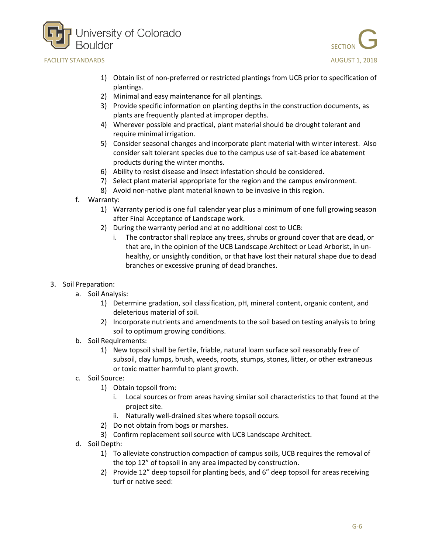



- 1) Obtain list of non-preferred or restricted plantings from UCB prior to specification of plantings.
- 2) Minimal and easy maintenance for all plantings.
- 3) Provide specific information on planting depths in the construction documents, as plants are frequently planted at improper depths.
- 4) Wherever possible and practical, plant material should be drought tolerant and require minimal irrigation.
- 5) Consider seasonal changes and incorporate plant material with winter interest. Also consider salt tolerant species due to the campus use of salt-based ice abatement products during the winter months.
- 6) Ability to resist disease and insect infestation should be considered.
- 7) Select plant material appropriate for the region and the campus environment.
- 8) Avoid non-native plant material known to be invasive in this region.
- f. Warranty:
	- 1) Warranty period is one full calendar year plus a minimum of one full growing season after Final Acceptance of Landscape work.
	- 2) During the warranty period and at no additional cost to UCB:
		- i. The contractor shall replace any trees, shrubs or ground cover that are dead, or that are, in the opinion of the UCB Landscape Architect or Lead Arborist, in unhealthy, or unsightly condition, or that have lost their natural shape due to dead branches or excessive pruning of dead branches.

### 3. Soil Preparation:

- a. Soil Analysis:
	- 1) Determine gradation, soil classification, pH, mineral content, organic content, and deleterious material of soil.
	- 2) Incorporate nutrients and amendments to the soil based on testing analysis to bring soil to optimum growing conditions.
- b. Soil Requirements:
	- 1) New topsoil shall be fertile, friable, natural loam surface soil reasonably free of subsoil, clay lumps, brush, weeds, roots, stumps, stones, litter, or other extraneous or toxic matter harmful to plant growth.
- c. Soil Source:
	- 1) Obtain topsoil from:
		- i. Local sources or from areas having similar soil characteristics to that found at the project site.
		- ii. Naturally well-drained sites where topsoil occurs.
	- 2) Do not obtain from bogs or marshes.
	- 3) Confirm replacement soil source with UCB Landscape Architect.
- d. Soil Depth:
	- 1) To alleviate construction compaction of campus soils, UCB requires the removal of the top 12" of topsoil in any area impacted by construction.
	- 2) Provide 12" deep topsoil for planting beds, and 6" deep topsoil for areas receiving turf or native seed: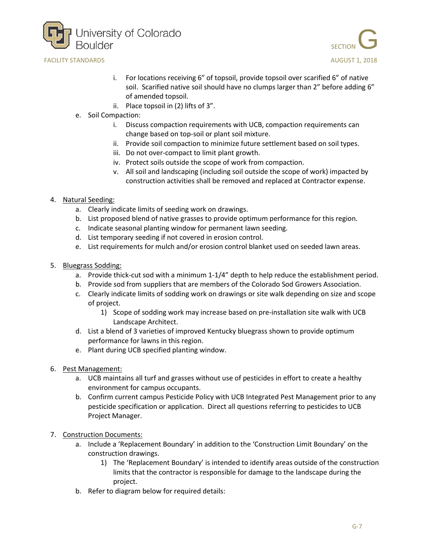



- i. For locations receiving 6" of topsoil, provide topsoil over scarified 6" of native soil. Scarified native soil should have no clumps larger than 2" before adding 6" of amended topsoil.
- ii. Place topsoil in (2) lifts of 3".
- e. Soil Compaction:
	- i. Discuss compaction requirements with UCB, compaction requirements can change based on top-soil or plant soil mixture.
	- ii. Provide soil compaction to minimize future settlement based on soil types.
	- iii. Do not over-compact to limit plant growth.
	- iv. Protect soils outside the scope of work from compaction.
	- v. All soil and landscaping (including soil outside the scope of work) impacted by construction activities shall be removed and replaced at Contractor expense.
- 4. Natural Seeding:
	- a. Clearly indicate limits of seeding work on drawings.
	- b. List proposed blend of native grasses to provide optimum performance for this region.
	- c. Indicate seasonal planting window for permanent lawn seeding.
	- d. List temporary seeding if not covered in erosion control.
	- e. List requirements for mulch and/or erosion control blanket used on seeded lawn areas.
- 5. Bluegrass Sodding:
	- a. Provide thick-cut sod with a minimum 1-1/4" depth to help reduce the establishment period.
	- b. Provide sod from suppliers that are members of the Colorado Sod Growers Association.
	- c. Clearly indicate limits of sodding work on drawings or site walk depending on size and scope of project.
		- 1) Scope of sodding work may increase based on pre-installation site walk with UCB Landscape Architect.
	- d. List a blend of 3 varieties of improved Kentucky bluegrass shown to provide optimum performance for lawns in this region.
	- e. Plant during UCB specified planting window.
- 6. Pest Management:
	- a. UCB maintains all turf and grasses without use of pesticides in effort to create a healthy environment for campus occupants.
	- b. Confirm current campus Pesticide Policy with UCB Integrated Pest Management prior to any pesticide specification or application. Direct all questions referring to pesticides to UCB Project Manager.
- 7. Construction Documents:
	- a. Include a 'Replacement Boundary' in addition to the 'Construction Limit Boundary' on the construction drawings.
		- 1) The 'Replacement Boundary' is intended to identify areas outside of the construction limits that the contractor is responsible for damage to the landscape during the project.
	- b. Refer to diagram below for required details: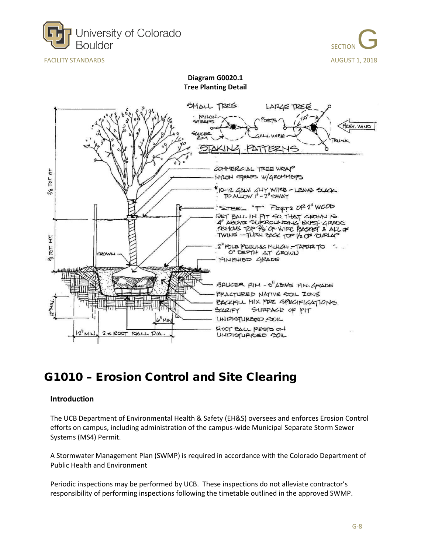



**Diagram G0020.1 Tree Planting Detail**



### <span id="page-7-0"></span>G1010 – Erosion Control and Site Clearing

#### **Introduction**

The UCB Department of Environmental Health & Safety (EH&S) oversees and enforces Erosion Control efforts on campus, including administration of the campus-wide Municipal Separate Storm Sewer Systems (MS4) Permit.

A Stormwater Management Plan (SWMP) is required in accordance with the Colorado Department of Public Health and Environment

Periodic inspections may be performed by UCB. These inspections do not alleviate contractor's responsibility of performing inspections following the timetable outlined in the approved SWMP.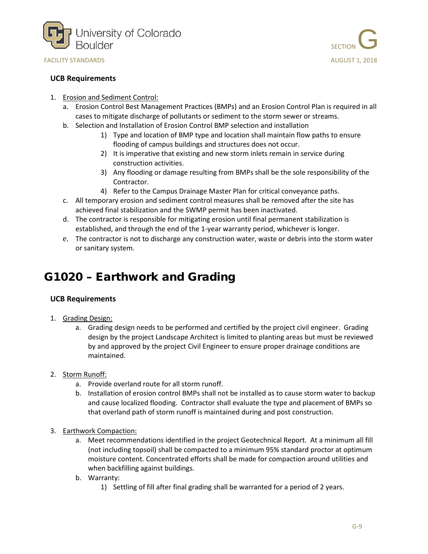

#### **UCB Requirements**



- 1. Erosion and Sediment Control:
	- a. Erosion Control Best Management Practices (BMPs) and an Erosion Control Plan is required in all cases to mitigate discharge of pollutants or sediment to the storm sewer or streams.
	- b. Selection and Installation of Erosion Control BMP selection and installation
		- 1) Type and location of BMP type and location shall maintain flow paths to ensure flooding of campus buildings and structures does not occur.
		- 2) It is imperative that existing and new storm inlets remain in service during construction activities.
		- 3) Any flooding or damage resulting from BMPs shall be the sole responsibility of the Contractor.
		- 4) Refer to the Campus Drainage Master Plan for critical conveyance paths.
	- c. All temporary erosion and sediment control measures shall be removed after the site has achieved final stabilization and the SWMP permit has been inactivated.
	- d. The contractor is responsible for mitigating erosion until final permanent stabilization is established, and through the end of the 1-year warranty period, whichever is longer.
	- e. The contractor is not to discharge any construction water, waste or debris into the storm water or sanitary system.

# <span id="page-8-0"></span>G1020 – Earthwork and Grading

- 1. Grading Design:
	- a. Grading design needs to be performed and certified by the project civil engineer. Grading design by the project Landscape Architect is limited to planting areas but must be reviewed by and approved by the project Civil Engineer to ensure proper drainage conditions are maintained.
- 2. Storm Runoff:
	- a. Provide overland route for all storm runoff.
	- b. Installation of erosion control BMPs shall not be installed as to cause storm water to backup and cause localized flooding. Contractor shall evaluate the type and placement of BMPs so that overland path of storm runoff is maintained during and post construction.
- 3. Earthwork Compaction:
	- a. Meet recommendations identified in the project Geotechnical Report. At a minimum all fill (not including topsoil) shall be compacted to a minimum 95% standard proctor at optimum moisture content. Concentrated efforts shall be made for compaction around utilities and when backfilling against buildings.
	- b. Warranty:
		- 1) Settling of fill after final grading shall be warranted for a period of 2 years.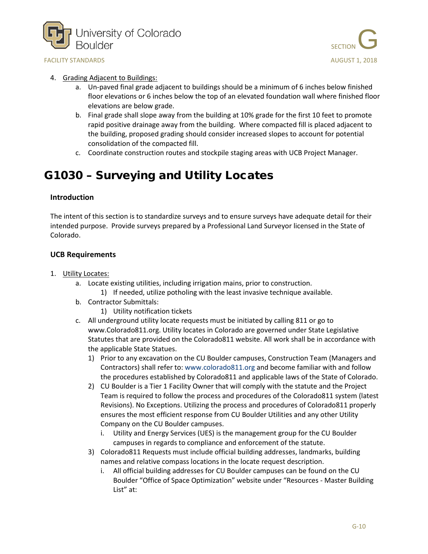



#### 4. Grading Adjacent to Buildings:

- a. Un-paved final grade adjacent to buildings should be a minimum of 6 inches below finished floor elevations or 6 inches below the top of an elevated foundation wall where finished floor elevations are below grade.
- b. Final grade shall slope away from the building at 10% grade for the first 10 feet to promote rapid positive drainage away from the building. Where compacted fill is placed adjacent to the building, proposed grading should consider increased slopes to account for potential consolidation of the compacted fill.
- c. Coordinate construction routes and stockpile staging areas with UCB Project Manager.

## <span id="page-9-0"></span>G1030 – Surveying and Utility Locates

#### **Introduction**

The intent of this section is to standardize surveys and to ensure surveys have adequate detail for their intended purpose. Provide surveys prepared by a Professional Land Surveyor licensed in the State of Colorado.

- 1. Utility Locates:
	- a. Locate existing utilities, including irrigation mains, prior to construction.
		- 1) If needed, utilize potholing with the least invasive technique available.
	- b. Contractor Submittals:
		- 1) Utility notification tickets
	- c. All underground utility locate requests must be initiated by calling 811 or go to [www.Colorado811.org.](http://www.colorado811.org/) Utility locates in Colorado are governed under State Legislative Statutes that are provided on the Colorado811 website. All work shall be in accordance with the applicable State Statues.
		- 1) Prior to any excavation on the CU Boulder campuses, Construction Team (Managers and Contractors) shall refer to[: www.colorado811.org](http://www.colorado811.org/) and become familiar with and follow the procedures established by Colorado811 and applicable laws of the State of Colorado.
		- 2) CU Boulder is a Tier 1 Facility Owner that will comply with the statute and the Project Team is required to follow the process and procedures of the Colorado811 system (latest Revisions). No Exceptions. Utilizing the process and procedures of Colorado811 properly ensures the most efficient response from CU Boulder Utilities and any other Utility Company on the CU Boulder campuses.
			- i. Utility and Energy Services (UES) is the management group for the CU Boulder campuses in regards to compliance and enforcement of the statute.
		- 3) Colorado811 Requests must include official building addresses, landmarks, building names and relative compass locations in the locate request description.
			- i. All official building addresses for CU Boulder campuses can be found on the CU Boulder "Office of Space Optimization" website under "Resources - Master Building List" at: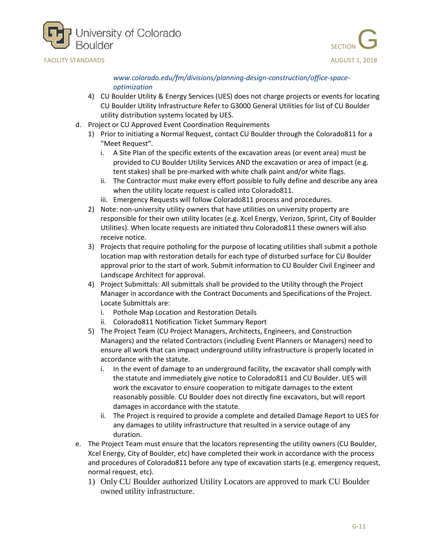



*[www.colorado.edu/fm/divisions/planning-design-construction/office-space](http://www.colorado.edu/fm/divisions/planning-design-construction/office-space-optimization)[optimization](http://www.colorado.edu/fm/divisions/planning-design-construction/office-space-optimization)*

- 4) CU Boulder Utility & Energy Services (UES) does not charge projects or events for locating CU Boulder Utility Infrastructure Refer to G3000 General Utilities for list of CU Boulder utility distribution systems located by UES.
- d. Project or CU Approved Event Coordination Requirements
	- 1) Prior to initiating a Normal Request, contact CU Boulder through the Colorado811 for a "Meet Request".
		- i. A Site Plan of the specific extents of the excavation areas (or event area) must be provided to CU Boulder Utility Services AND the excavation or area of impact (e.g. tent stakes) shall be pre-marked with white chalk paint and/or white flags.
		- ii. The Contractor must make every effort possible to fully define and describe any area when the utility locate request is called into Colorado811.
		- iii. Emergency Requests will follow Colorado811 process and procedures.
	- 2) Note: non-university utility owners that have utilities on university property are responsible for their own utility locates (e.g. Xcel Energy, Verizon, Sprint, City of Boulder Utilities). When locate requests are initiated thru Colorado811 these owners will also receive notice.
	- 3) Projects that require potholing for the purpose of locating utilities shall submit a pothole location map with restoration details for each type of disturbed surface for CU Boulder approval prior to the start of work. Submit information to CU Boulder Civil Engineer and Landscape Architect for approval.
	- 4) Project Submittals: All submittals shall be provided to the Utility through the Project Manager in accordance with the Contract Documents and Specifications of the Project. Locate Submittals are:
		- i. Pothole Map Location and Restoration Details
		- ii. Colorado811 Notification Ticket Summary Report
	- 5) The Project Team (CU Project Managers, Architects, Engineers, and Construction Managers) and the related Contractors (including Event Planners or Managers) need to ensure all work that can impact underground utility infrastructure is properly located in accordance with the statute.
		- i. In the event of damage to an underground facility, the excavator shall comply with the statute and immediately give notice to Colorado811 and CU Boulder. UES will work the excavator to ensure cooperation to mitigate damages to the extent reasonably possible. CU Boulder does not directly fine excavators, but will report damages in accordance with the statute.
		- ii. The Project is required to provide a complete and detailed Damage Report to UES for any damages to utility infrastructure that resulted in a service outage of any duration.
- e. The Project Team must ensure that the locators representing the utility owners (CU Boulder, Xcel Energy, City of Boulder, etc) have completed their work in accordance with the process and procedures of Colorado811 before any type of excavation starts (e.g. emergency request, normal request, etc).
	- 1) Only CU Boulder authorized Utility Locators are approved to mark CU Boulder owned utility infrastructure.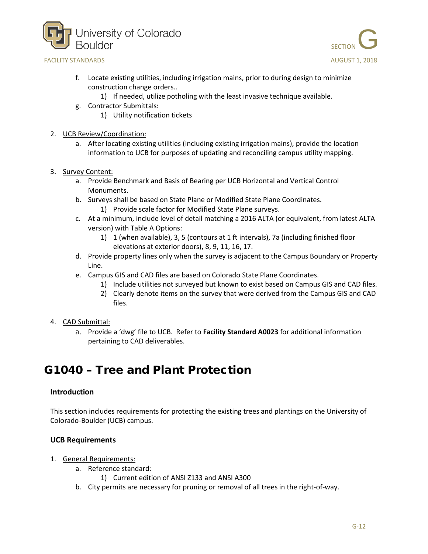





- f. Locate existing utilities, including irrigation mains, prior to during design to minimize construction change orders..
	- 1) If needed, utilize potholing with the least invasive technique available.
- g. Contractor Submittals:
	- 1) Utility notification tickets
- 2. UCB Review/Coordination:
	- a. After locating existing utilities (including existing irrigation mains), provide the location information to UCB for purposes of updating and reconciling campus utility mapping.
- 3. Survey Content:
	- a. Provide Benchmark and Basis of Bearing per UCB Horizontal and Vertical Control Monuments.
	- b. Surveys shall be based on State Plane or Modified State Plane Coordinates.
		- 1) Provide scale factor for Modified State Plane surveys.
	- c. At a minimum, include level of detail matching a 2016 ALTA (or equivalent, from latest ALTA version) with Table A Options:
		- 1) 1 (when available), 3, 5 (contours at 1 ft intervals), 7a (including finished floor elevations at exterior doors), 8, 9, 11, 16, 17.
	- d. Provide property lines only when the survey is adjacent to the Campus Boundary or Property Line.
	- e. Campus GIS and CAD files are based on Colorado State Plane Coordinates.
		- 1) Include utilities not surveyed but known to exist based on Campus GIS and CAD files.
		- 2) Clearly denote items on the survey that were derived from the Campus GIS and CAD files.
- 4. CAD Submittal:
	- a. Provide a 'dwg' file to UCB. Refer to **Facility Standard A0023** for additional information pertaining to CAD deliverables.

## <span id="page-11-0"></span>G1040 – Tree and Plant Protection

#### **Introduction**

This section includes requirements for protecting the existing trees and plantings on the University of Colorado-Boulder (UCB) campus.

- 1. General Requirements:
	- a. Reference standard:
		- 1) Current edition of ANSI Z133 and ANSI A300
	- b. City permits are necessary for pruning or removal of all trees in the right-of-way.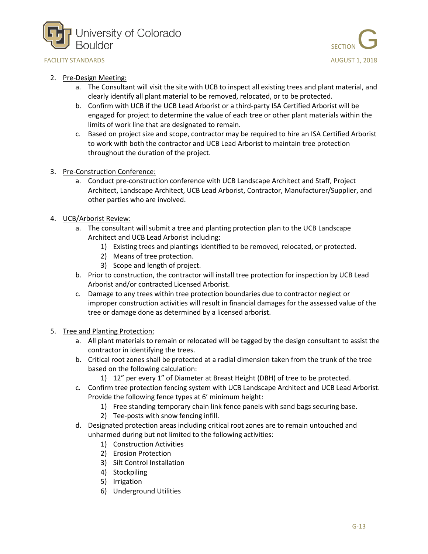



#### 2. Pre-Design Meeting:

- a. The Consultant will visit the site with UCB to inspect all existing trees and plant material, and clearly identify all plant material to be removed, relocated, or to be protected.
- b. Confirm with UCB if the UCB Lead Arborist or a third-party ISA Certified Arborist will be engaged for project to determine the value of each tree or other plant materials within the limits of work line that are designated to remain.
- c. Based on project size and scope, contractor may be required to hire an ISA Certified Arborist to work with both the contractor and UCB Lead Arborist to maintain tree protection throughout the duration of the project.
- 3. Pre-Construction Conference:
	- a. Conduct pre-construction conference with UCB Landscape Architect and Staff, Project Architect, Landscape Architect, UCB Lead Arborist, Contractor, Manufacturer/Supplier, and other parties who are involved.
- 4. UCB/Arborist Review:
	- a. The consultant will submit a tree and planting protection plan to the UCB Landscape Architect and UCB Lead Arborist including:
		- 1) Existing trees and plantings identified to be removed, relocated, or protected.
		- 2) Means of tree protection.
		- 3) Scope and length of project.
	- b. Prior to construction, the contractor will install tree protection for inspection by UCB Lead Arborist and/or contracted Licensed Arborist.
	- c. Damage to any trees within tree protection boundaries due to contractor neglect or improper construction activities will result in financial damages for the assessed value of the tree or damage done as determined by a licensed arborist.
- 5. Tree and Planting Protection:
	- a. All plant materials to remain or relocated will be tagged by the design consultant to assist the contractor in identifying the trees.
	- b. Critical root zones shall be protected at a radial dimension taken from the trunk of the tree based on the following calculation:
		- 1) 12" per every 1" of Diameter at Breast Height (DBH) of tree to be protected.
	- c. Confirm tree protection fencing system with UCB Landscape Architect and UCB Lead Arborist. Provide the following fence types at 6' minimum height:
		- 1) Free standing temporary chain link fence panels with sand bags securing base.
		- 2) Tee-posts with snow fencing infill.
	- d. Designated protection areas including critical root zones are to remain untouched and unharmed during but not limited to the following activities:
		- 1) Construction Activities
		- 2) Erosion Protection
		- 3) Silt Control Installation
		- 4) Stockpiling
		- 5) Irrigation
		- 6) Underground Utilities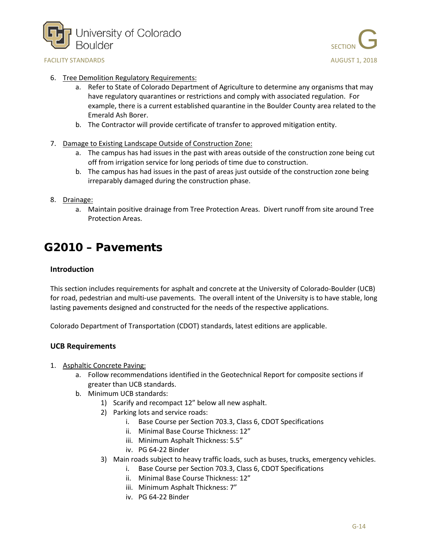



- 6. Tree Demolition Regulatory Requirements:
	- a. Refer to State of Colorado Department of Agriculture to determine any organisms that may have regulatory quarantines or restrictions and comply with associated regulation. For example, there is a current established quarantine in the Boulder County area related to the Emerald Ash Borer.
	- b. The Contractor will provide certificate of transfer to approved mitigation entity.
- 7. Damage to Existing Landscape Outside of Construction Zone:
	- a. The campus has had issues in the past with areas outside of the construction zone being cut off from irrigation service for long periods of time due to construction.
	- b. The campus has had issues in the past of areas just outside of the construction zone being irreparably damaged during the construction phase.
- 8. Drainage:
	- a. Maintain positive drainage from Tree Protection Areas. Divert runoff from site around Tree Protection Areas.

## <span id="page-13-0"></span>G2010 – Pavements

### **Introduction**

This section includes requirements for asphalt and concrete at the University of Colorado-Boulder (UCB) for road, pedestrian and multi-use pavements. The overall intent of the University is to have stable, long lasting pavements designed and constructed for the needs of the respective applications.

Colorado Department of Transportation (CDOT) standards, latest editions are applicable.

- 1. Asphaltic Concrete Paving:
	- a. Follow recommendations identified in the Geotechnical Report for composite sections if greater than UCB standards.
	- b. Minimum UCB standards:
		- 1) Scarify and recompact 12" below all new asphalt.
		- 2) Parking lots and service roads:
			- i. Base Course per Section 703.3, Class 6, CDOT Specifications
			- ii. Minimal Base Course Thickness: 12"
			- iii. Minimum Asphalt Thickness: 5.5"
			- iv. PG 64-22 Binder
		- 3) Main roads subject to heavy traffic loads, such as buses, trucks, emergency vehicles.
			- i. Base Course per Section 703.3, Class 6, CDOT Specifications
			- ii. Minimal Base Course Thickness: 12"
			- iii. Minimum Asphalt Thickness: 7"
			- iv. PG 64-22 Binder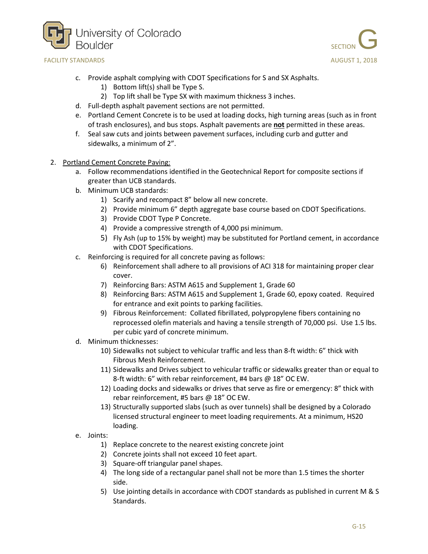



- c. Provide asphalt complying with CDOT Specifications for S and SX Asphalts.
	- 1) Bottom lift(s) shall be Type S.
	- 2) Top lift shall be Type SX with maximum thickness 3 inches.
- d. Full-depth asphalt pavement sections are not permitted.
- e. Portland Cement Concrete is to be used at loading docks, high turning areas (such as in front of trash enclosures), and bus stops. Asphalt pavements are **not** permitted in these areas.
- f. Seal saw cuts and joints between pavement surfaces, including curb and gutter and sidewalks, a minimum of 2".
- 2. Portland Cement Concrete Paving:
	- a. Follow recommendations identified in the Geotechnical Report for composite sections if greater than UCB standards.
	- b. Minimum UCB standards:
		- 1) Scarify and recompact 8" below all new concrete.
		- 2) Provide minimum 6" depth aggregate base course based on CDOT Specifications.
		- 3) Provide CDOT Type P Concrete.
		- 4) Provide a compressive strength of 4,000 psi minimum.
		- 5) Fly Ash (up to 15% by weight) may be substituted for Portland cement, in accordance with CDOT Specifications.
	- c. Reinforcing is required for all concrete paving as follows:
		- 6) Reinforcement shall adhere to all provisions of ACI 318 for maintaining proper clear cover.
		- 7) Reinforcing Bars: ASTM A615 and Supplement 1, Grade 60
		- 8) Reinforcing Bars: ASTM A615 and Supplement 1, Grade 60, epoxy coated. Required for entrance and exit points to parking facilities.
		- 9) Fibrous Reinforcement: Collated fibrillated, polypropylene fibers containing no reprocessed olefin materials and having a tensile strength of 70,000 psi. Use 1.5 lbs. per cubic yard of concrete minimum.
	- d. Minimum thicknesses:
		- 10) Sidewalks not subject to vehicular traffic and less than 8-ft width: 6" thick with Fibrous Mesh Reinforcement.
		- 11) Sidewalks and Drives subject to vehicular traffic or sidewalks greater than or equal to 8-ft width: 6" with rebar reinforcement, #4 bars @ 18" OC EW.
		- 12) Loading docks and sidewalks or drives that serve as fire or emergency: 8" thick with rebar reinforcement, #5 bars @ 18" OC EW.
		- 13) Structurally supported slabs (such as over tunnels) shall be designed by a Colorado licensed structural engineer to meet loading requirements. At a minimum, HS20 loading.
	- e. Joints:
		- 1) Replace concrete to the nearest existing concrete joint
		- 2) Concrete joints shall not exceed 10 feet apart.
		- 3) Square-off triangular panel shapes.
		- 4) The long side of a rectangular panel shall not be more than 1.5 times the shorter side.
		- 5) Use jointing details in accordance with CDOT standards as published in current M & S Standards.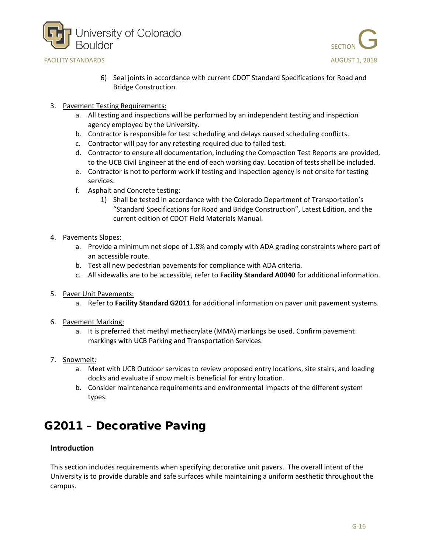



- 6) Seal joints in accordance with current CDOT Standard Specifications for Road and Bridge Construction.
- 3. Pavement Testing Requirements:
	- a. All testing and inspections will be performed by an independent testing and inspection agency employed by the University.
	- b. Contractor is responsible for test scheduling and delays caused scheduling conflicts.
	- c. Contractor will pay for any retesting required due to failed test.
	- d. Contractor to ensure all documentation, including the Compaction Test Reports are provided, to the UCB Civil Engineer at the end of each working day. Location of tests shall be included.
	- e. Contractor is not to perform work if testing and inspection agency is not onsite for testing services.
	- f. Asphalt and Concrete testing:
		- 1) Shall be tested in accordance with the Colorado Department of Transportation's "Standard Specifications for Road and Bridge Construction", Latest Edition, and the current edition of CDOT Field Materials Manual.
- 4. Pavements Slopes:
	- a. Provide a minimum net slope of 1.8% and comply with ADA grading constraints where part of an accessible route.
	- b. Test all new pedestrian pavements for compliance with ADA criteria.
	- c. All sidewalks are to be accessible, refer to **Facility Standard A0040** for additional information.
- 5. Paver Unit Pavements:
	- a. Refer to **Facility Standard G2011** for additional information on paver unit pavement systems.
- 6. Pavement Marking:
	- a. It is preferred that methyl methacrylate (MMA) markings be used. Confirm pavement markings with UCB Parking and Transportation Services.
- 7. Snowmelt:
	- a. Meet with UCB Outdoor services to review proposed entry locations, site stairs, and loading docks and evaluate if snow melt is beneficial for entry location.
	- b. Consider maintenance requirements and environmental impacts of the different system types.

## <span id="page-15-0"></span>G2011 – Decorative Paving

### **Introduction**

This section includes requirements when specifying decorative unit pavers. The overall intent of the University is to provide durable and safe surfaces while maintaining a uniform aesthetic throughout the campus.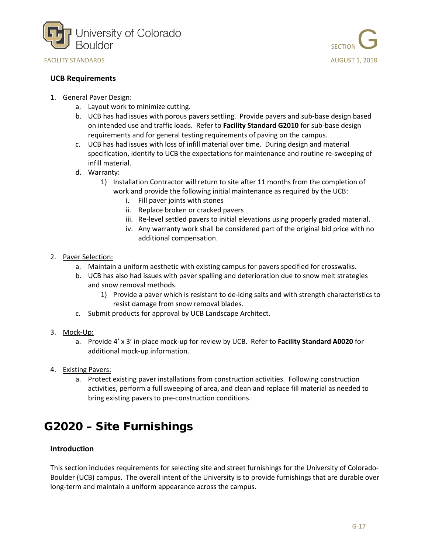



#### **UCB Requirements**

- 1. General Paver Design:
	- a. Layout work to minimize cutting.
	- b. UCB has had issues with porous pavers settling. Provide pavers and sub-base design based on intended use and traffic loads. Refer to **Facility Standard G2010** for sub-base design requirements and for general testing requirements of paving on the campus.
	- c. UCB has had issues with loss of infill material over time. During design and material specification, identify to UCB the expectations for maintenance and routine re-sweeping of infill material.
	- d. Warranty:
		- 1) Installation Contractor will return to site after 11 months from the completion of work and provide the following initial maintenance as required by the UCB:
			- i. Fill paver joints with stones
			- ii. Replace broken or cracked pavers
			- iii. Re-level settled pavers to initial elevations using properly graded material.
			- iv. Any warranty work shall be considered part of the original bid price with no additional compensation.
- 2. Paver Selection:
	- a. Maintain a uniform aesthetic with existing campus for pavers specified for crosswalks.
	- b. UCB has also had issues with paver spalling and deterioration due to snow melt strategies and snow removal methods.
		- 1) Provide a paver which is resistant to de-icing salts and with strength characteristics to resist damage from snow removal blades.
	- c. Submit products for approval by UCB Landscape Architect.
- 3. Mock-Up:
	- a. Provide 4' x 3' in-place mock-up for review by UCB. Refer to **Facility Standard A0020** for additional mock-up information.
- 4. Existing Pavers:
	- a. Protect existing paver installations from construction activities. Following construction activities, perform a full sweeping of area, and clean and replace fill material as needed to bring existing pavers to pre-construction conditions.

# <span id="page-16-0"></span>G2020 – Site Furnishings

### **Introduction**

This section includes requirements for selecting site and street furnishings for the University of Colorado-Boulder (UCB) campus. The overall intent of the University is to provide furnishings that are durable over long-term and maintain a uniform appearance across the campus.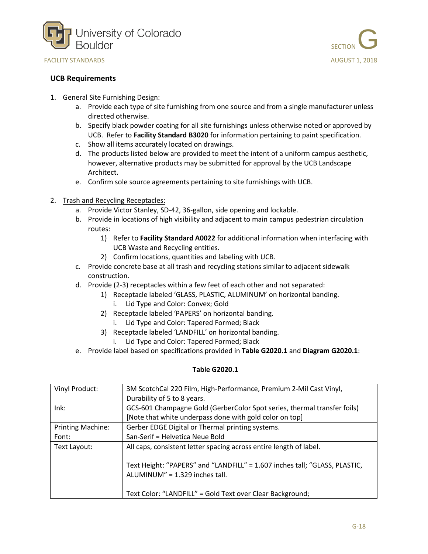



#### **UCB Requirements**

- 1. General Site Furnishing Design:
	- a. Provide each type of site furnishing from one source and from a single manufacturer unless directed otherwise.
	- b. Specify black powder coating for all site furnishings unless otherwise noted or approved by UCB. Refer to **Facility Standard B3020** for information pertaining to paint specification.
	- c. Show all items accurately located on drawings.
	- d. The products listed below are provided to meet the intent of a uniform campus aesthetic, however, alternative products may be submitted for approval by the UCB Landscape Architect.
	- e. Confirm sole source agreements pertaining to site furnishings with UCB.
- 2. Trash and Recycling Receptacles:
	- a. Provide Victor Stanley, SD-42, 36-gallon, side opening and lockable.
	- b. Provide in locations of high visibility and adjacent to main campus pedestrian circulation routes:
		- 1) Refer to **Facility Standard A0022** for additional information when interfacing with UCB Waste and Recycling entities.
		- 2) Confirm locations, quantities and labeling with UCB.
	- c. Provide concrete base at all trash and recycling stations similar to adjacent sidewalk construction.
	- d. Provide (2-3) receptacles within a few feet of each other and not separated:
		- 1) Receptacle labeled 'GLASS, PLASTIC, ALUMINUM' on horizontal banding.
			- i. Lid Type and Color: Convex; Gold
		- 2) Receptacle labeled 'PAPERS' on horizontal banding.
			- i. Lid Type and Color: Tapered Formed; Black
		- 3) Receptacle labeled 'LANDFILL' on horizontal banding.
			- i. Lid Type and Color: Tapered Formed; Black
	- e. Provide label based on specifications provided in **Table G2020.1** and **Diagram G2020.1**:

#### **Table G2020.1**

| Vinyl Product:           | 3M ScotchCal 220 Film, High-Performance, Premium 2-Mil Cast Vinyl,                                           |
|--------------------------|--------------------------------------------------------------------------------------------------------------|
|                          | Durability of 5 to 8 years.                                                                                  |
| $lnk$ :                  | GCS-601 Champagne Gold (GerberColor Spot series, thermal transfer foils)                                     |
|                          | [Note that white underpass done with gold color on top]                                                      |
| <b>Printing Machine:</b> | Gerber EDGE Digital or Thermal printing systems.                                                             |
| Font:                    | San-Serif = Helvetica Neue Bold                                                                              |
| Text Layout:             | All caps, consistent letter spacing across entire length of label.                                           |
|                          | Text Height: "PAPERS" and "LANDFILL" = 1.607 inches tall; "GLASS, PLASTIC,<br>ALUMINUM" = 1.329 inches tall. |
|                          | Text Color: "LANDFILL" = Gold Text over Clear Background;                                                    |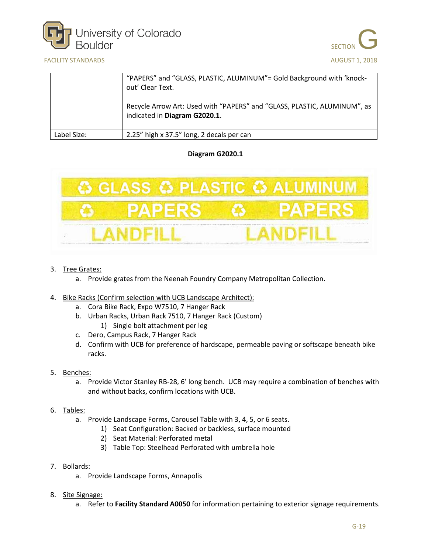





|             | "PAPERS" and "GLASS, PLASTIC, ALUMINUM" = Gold Background with 'knock-<br>out' Clear Text.                |
|-------------|-----------------------------------------------------------------------------------------------------------|
|             | Recycle Arrow Art: Used with "PAPERS" and "GLASS, PLASTIC, ALUMINUM", as<br>indicated in Diagram G2020.1. |
| Label Size: | 2.25" high x 37.5" long, 2 decals per can                                                                 |

### **Diagram G2020.1**



- 3. Tree Grates:
	- a. Provide grates from the Neenah Foundry Company Metropolitan Collection.
- 4. Bike Racks (Confirm selection with UCB Landscape Architect):
	- a. Cora Bike Rack, Expo W7510, 7 Hanger Rack
	- b. Urban Racks, Urban Rack 7510, 7 Hanger Rack (Custom) 1) Single bolt attachment per leg
	- c. Dero, Campus Rack, 7 Hanger Rack
	- d. Confirm with UCB for preference of hardscape, permeable paving or softscape beneath bike racks.
- 5. Benches:
	- a. Provide Victor Stanley RB-28, 6' long bench. UCB may require a combination of benches with and without backs, confirm locations with UCB.
- 6. Tables:
	- a. Provide Landscape Forms, Carousel Table with 3, 4, 5, or 6 seats.
		- 1) Seat Configuration: Backed or backless, surface mounted
		- 2) Seat Material: Perforated metal
		- 3) Table Top: Steelhead Perforated with umbrella hole
- 7. Bollards:
	- a. Provide Landscape Forms, Annapolis
- 8. Site Signage:
	- a. Refer to **Facility Standard A0050** for information pertaining to exterior signage requirements.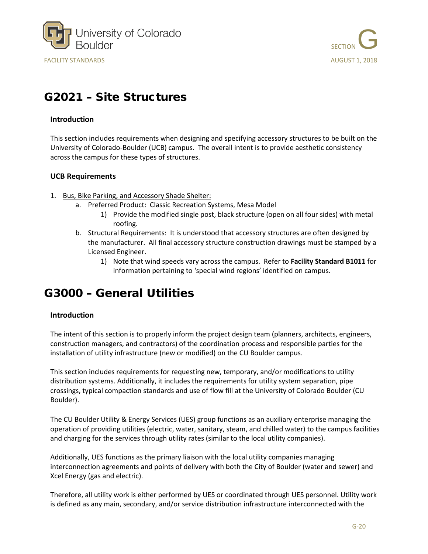



# <span id="page-19-0"></span>G2021 – Site Structures

#### **Introduction**

This section includes requirements when designing and specifying accessory structures to be built on the University of Colorado-Boulder (UCB) campus. The overall intent is to provide aesthetic consistency across the campus for these types of structures.

#### **UCB Requirements**

- 1. Bus, Bike Parking, and Accessory Shade Shelter:
	- a. Preferred Product: Classic Recreation Systems, Mesa Model
		- 1) Provide the modified single post, black structure (open on all four sides) with metal roofing.
	- b. Structural Requirements: It is understood that accessory structures are often designed by the manufacturer. All final accessory structure construction drawings must be stamped by a Licensed Engineer.
		- 1) Note that wind speeds vary across the campus. Refer to **Facility Standard B1011** for information pertaining to 'special wind regions' identified on campus.

### <span id="page-19-1"></span>G3000 – General Utilities

### **Introduction**

The intent of this section is to properly inform the project design team (planners, architects, engineers, construction managers, and contractors) of the coordination process and responsible parties for the installation of utility infrastructure (new or modified) on the CU Boulder campus.

This section includes requirements for requesting new, temporary, and/or modifications to utility distribution systems. Additionally, it includes the requirements for utility system separation, pipe crossings, typical compaction standards and use of flow fill at the University of Colorado Boulder (CU Boulder).

The CU Boulder Utility & Energy Services (UES) group functions as an auxiliary enterprise managing the operation of providing utilities (electric, water, sanitary, steam, and chilled water) to the campus facilities and charging for the services through utility rates (similar to the local utility companies).

Additionally, UES functions as the primary liaison with the local utility companies managing interconnection agreements and points of delivery with both the City of Boulder (water and sewer) and Xcel Energy (gas and electric).

Therefore, all utility work is either performed by UES or coordinated through UES personnel. Utility work is defined as any main, secondary, and/or service distribution infrastructure interconnected with the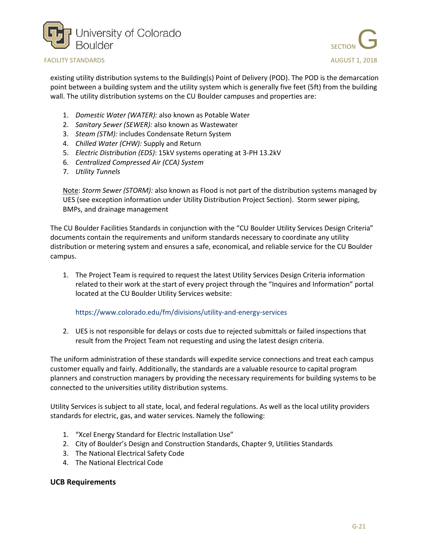



existing utility distribution systems to the Building(s) Point of Delivery (POD). The POD is the demarcation point between a building system and the utility system which is generally five feet (5ft) from the building wall. The utility distribution systems on the CU Boulder campuses and properties are:

- 1. *Domestic Water (WATER):* also known as Potable Water
- 2. *Sanitary Sewer (SEWER):* also known as Wastewater
- 3. *Steam (STM):* includes Condensate Return System
- 4. *Chilled Water (CHW):* Supply and Return
- 5. *Electric Distribution (EDS)*: 15kV systems operating at 3-PH 13.2kV
- 6. *Centralized Compressed Air (CCA) System*
- 7. *Utility Tunnels*

Note: *Storm Sewer (STORM):* also known as Flood is not part of the distribution systems managed by UES (see exception information under Utility Distribution Project Section). Storm sewer piping, BMPs, and drainage management

The CU Boulder Facilities Standards in conjunction with the "CU Boulder Utility Services Design Criteria" documents contain the requirements and uniform standards necessary to coordinate any utility distribution or metering system and ensures a safe, economical, and reliable service for the CU Boulder campus.

1. The Project Team is required to request the latest Utility Services Design Criteria information related to their work at the start of every project through the "Inquires and Information" portal located at the CU Boulder Utility Services website:

#### <https://www.colorado.edu/fm/divisions/utility-and-energy-services>

2. UES is not responsible for delays or costs due to rejected submittals or failed inspections that result from the Project Team not requesting and using the latest design criteria.

The uniform administration of these standards will expedite service connections and treat each campus customer equally and fairly. Additionally, the standards are a valuable resource to capital program planners and construction managers by providing the necessary requirements for building systems to be connected to the universities utility distribution systems.

Utility Services is subject to all state, local, and federal regulations. As well as the local utility providers standards for electric, gas, and water services. Namely the following:

- 1. "Xcel Energy Standard for Electric Installation Use"
- 2. City of Boulder's Design and Construction Standards, Chapter 9, Utilities Standards
- 3. The National Electrical Safety Code
- 4. The National Electrical Code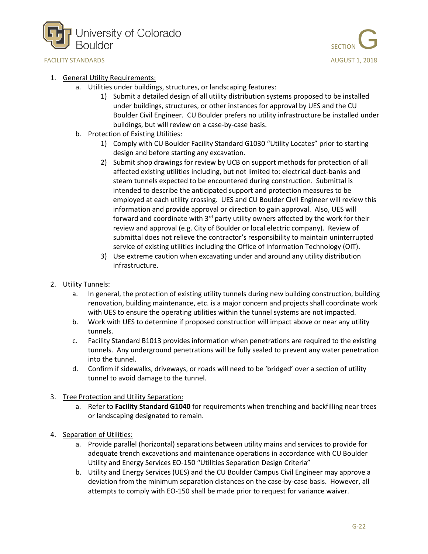



#### 1. General Utility Requirements:

- a. Utilities under buildings, structures, or landscaping features:
	- 1) Submit a detailed design of all utility distribution systems proposed to be installed under buildings, structures, or other instances for approval by UES and the CU Boulder Civil Engineer. CU Boulder prefers no utility infrastructure be installed under buildings, but will review on a case-by-case basis.
- b. Protection of Existing Utilities:
	- 1) Comply with CU Boulder Facility Standard G1030 "Utility Locates" prior to starting design and before starting any excavation.
	- 2) Submit shop drawings for review by UCB on support methods for protection of all affected existing utilities including, but not limited to: electrical duct-banks and steam tunnels expected to be encountered during construction. Submittal is intended to describe the anticipated support and protection measures to be employed at each utility crossing. UES and CU Boulder Civil Engineer will review this information and provide approval or direction to gain approval. Also, UES will forward and coordinate with  $3<sup>rd</sup>$  party utility owners affected by the work for their review and approval (e.g. City of Boulder or local electric company). Review of submittal does not relieve the contractor's responsibility to maintain uninterrupted service of existing utilities including the Office of Information Technology (OIT).
	- 3) Use extreme caution when excavating under and around any utility distribution infrastructure.
- 2. Utility Tunnels:
	- a. In general, the protection of existing utility tunnels during new building construction, building renovation, building maintenance, etc. is a major concern and projects shall coordinate work with UES to ensure the operating utilities within the tunnel systems are not impacted.
	- b. Work with UES to determine if proposed construction will impact above or near any utility tunnels.
	- c. Facility Standard B1013 provides information when penetrations are required to the existing tunnels. Any underground penetrations will be fully sealed to prevent any water penetration into the tunnel.
	- d. Confirm if sidewalks, driveways, or roads will need to be 'bridged' over a section of utility tunnel to avoid damage to the tunnel.
- 3. Tree Protection and Utility Separation:
	- a. Refer to **Facility Standard G1040** for requirements when trenching and backfilling near trees or landscaping designated to remain.
- 4. Separation of Utilities:
	- a. Provide parallel (horizontal) separations between utility mains and services to provide for adequate trench excavations and maintenance operations in accordance with CU Boulder Utility and Energy Services EO-150 "Utilities Separation Design Criteria"
	- b. Utility and Energy Services (UES) and the CU Boulder Campus Civil Engineer may approve a deviation from the minimum separation distances on the case-by-case basis. However, all attempts to comply with EO-150 shall be made prior to request for variance waiver.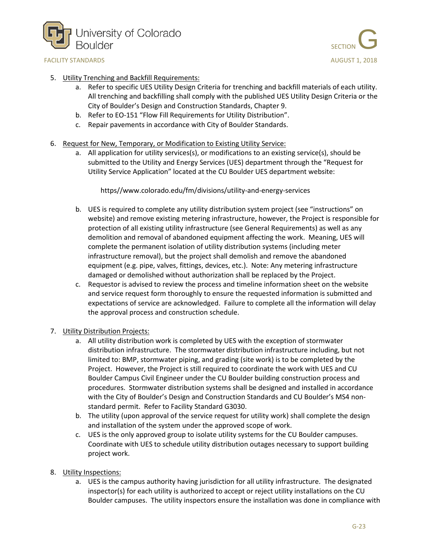



- 5. Utility Trenching and Backfill Requirements:
	- a. Refer to specific UES Utility Design Criteria for trenching and backfill materials of each utility. All trenching and backfilling shall comply with the published UES Utility Design Criteria or the City of Boulder's Design and Construction Standards, Chapter 9.
	- b. Refer to EO-151 "Flow Fill Requirements for Utility Distribution".
	- c. Repair pavements in accordance with City of Boulder Standards.
- 6. Request for New, Temporary, or Modification to Existing Utility Service:
	- a. All application for utility services(s), or modifications to an existing service(s), should be submitted to the Utility and Energy Services (UES) department through the "Request for Utility Service Application" located at the CU Boulder UES department website:

https//www.colorado.edu/fm/divisions/utility-and-energy-services

- b. UES is required to complete any utility distribution system project (see "instructions" on website) and remove existing metering infrastructure, however, the Project is responsible for protection of all existing utility infrastructure (see General Requirements) as well as any demolition and removal of abandoned equipment affecting the work. Meaning, UES will complete the permanent isolation of utility distribution systems (including meter infrastructure removal), but the project shall demolish and remove the abandoned equipment (e.g. pipe, valves, fittings, devices, etc.). Note: Any metering infrastructure damaged or demolished without authorization shall be replaced by the Project.
- c. Requestor is advised to review the process and timeline information sheet on the website and service request form thoroughly to ensure the requested information is submitted and expectations of service are acknowledged. Failure to complete all the information will delay the approval process and construction schedule.
- 7. Utility Distribution Projects:
	- a. All utility distribution work is completed by UES with the exception of stormwater distribution infrastructure. The stormwater distribution infrastructure including, but not limited to: BMP, stormwater piping, and grading (site work) is to be completed by the Project. However, the Project is still required to coordinate the work with UES and CU Boulder Campus Civil Engineer under the CU Boulder building construction process and procedures. Stormwater distribution systems shall be designed and installed in accordance with the City of Boulder's Design and Construction Standards and CU Boulder's MS4 nonstandard permit. Refer to Facility Standard G3030.
	- b. The utility (upon approval of the service request for utility work) shall complete the design and installation of the system under the approved scope of work.
	- c. UES is the only approved group to isolate utility systems for the CU Boulder campuses. Coordinate with UES to schedule utility distribution outages necessary to support building project work.
- 8. Utility Inspections:
	- a. UES is the campus authority having jurisdiction for all utility infrastructure. The designated inspector(s) for each utility is authorized to accept or reject utility installations on the CU Boulder campuses. The utility inspectors ensure the installation was done in compliance with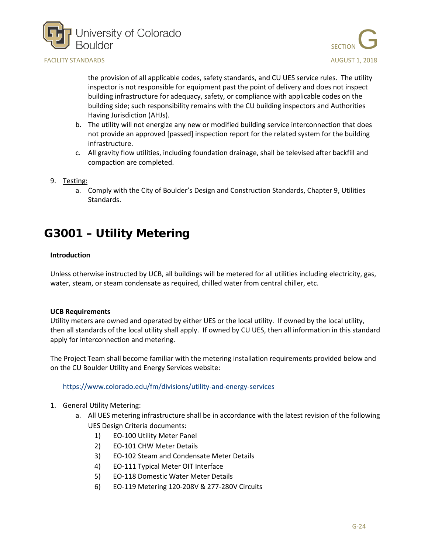



the provision of all applicable codes, safety standards, and CU UES service rules. The utility inspector is not responsible for equipment past the point of delivery and does not inspect building infrastructure for adequacy, safety, or compliance with applicable codes on the building side; such responsibility remains with the CU building inspectors and Authorities Having Jurisdiction (AHJs).

- b. The utility will not energize any new or modified building service interconnection that does not provide an approved [passed] inspection report for the related system for the building infrastructure.
- c. All gravity flow utilities, including foundation drainage, shall be televised after backfill and compaction are completed.
- 9. Testing:
	- a. Comply with the City of Boulder's Design and Construction Standards, Chapter 9, Utilities Standards.

# <span id="page-23-0"></span>G3001 – Utility Metering

#### **Introduction**

Unless otherwise instructed by UCB, all buildings will be metered for all utilities including electricity, gas, water, steam, or steam condensate as required, chilled water from central chiller, etc.

#### **UCB Requirements**

Utility meters are owned and operated by either UES or the local utility. If owned by the local utility, then all standards of the local utility shall apply. If owned by CU UES, then all information in this standard apply for interconnection and metering.

The Project Team shall become familiar with the metering installation requirements provided below and on the CU Boulder Utility and Energy Services website:

#### <https://www.colorado.edu/fm/divisions/utility-and-energy-services>

- 1. General Utility Metering:
	- a. All UES metering infrastructure shall be in accordance with the latest revision of the following UES Design Criteria documents:
		- 1) EO-100 Utility Meter Panel
		- 2) EO-101 CHW Meter Details
		- 3) EO-102 Steam and Condensate Meter Details
		- 4) EO-111 Typical Meter OIT Interface
		- 5) EO-118 Domestic Water Meter Details
		- 6) EO-119 Metering 120-208V & 277-280V Circuits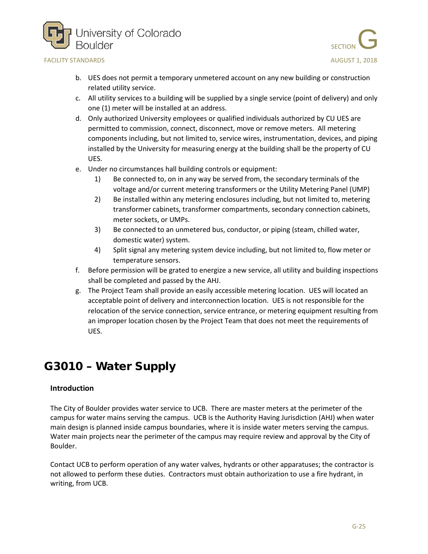



- b. UES does not permit a temporary unmetered account on any new building or construction related utility service.
- c. All utility services to a building will be supplied by a single service (point of delivery) and only one (1) meter will be installed at an address.
- d. Only authorized University employees or qualified individuals authorized by CU UES are permitted to commission, connect, disconnect, move or remove meters. All metering components including, but not limited to, service wires, instrumentation, devices, and piping installed by the University for measuring energy at the building shall be the property of CU UES.
- e. Under no circumstances hall building controls or equipment:
	- 1) Be connected to, on in any way be served from, the secondary terminals of the voltage and/or current metering transformers or the Utility Metering Panel (UMP)
	- 2) Be installed within any metering enclosures including, but not limited to, metering transformer cabinets, transformer compartments, secondary connection cabinets, meter sockets, or UMPs.
	- 3) Be connected to an unmetered bus, conductor, or piping (steam, chilled water, domestic water) system.
	- 4) Split signal any metering system device including, but not limited to, flow meter or temperature sensors.
- f. Before permission will be grated to energize a new service, all utility and building inspections shall be completed and passed by the AHJ.
- g. The Project Team shall provide an easily accessible metering location. UES will located an acceptable point of delivery and interconnection location. UES is not responsible for the relocation of the service connection, service entrance, or metering equipment resulting from an improper location chosen by the Project Team that does not meet the requirements of UES.

# <span id="page-24-0"></span>G3010 – Water Supply

### **Introduction**

The City of Boulder provides water service to UCB. There are master meters at the perimeter of the campus for water mains serving the campus. UCB is the Authority Having Jurisdiction (AHJ) when water main design is planned inside campus boundaries, where it is inside water meters serving the campus. Water main projects near the perimeter of the campus may require review and approval by the City of Boulder.

Contact UCB to perform operation of any water valves, hydrants or other apparatuses; the contractor is not allowed to perform these duties. Contractors must obtain authorization to use a fire hydrant, in writing, from UCB.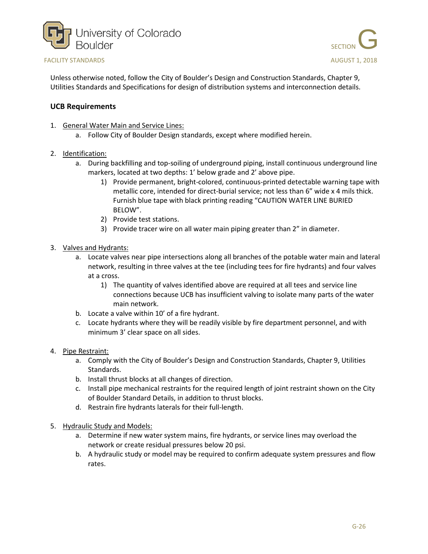



Unless otherwise noted, follow the City of Boulder's Design and Construction Standards, Chapter 9, Utilities Standards and Specifications for design of distribution systems and interconnection details.

- 1. General Water Main and Service Lines:
	- a. Follow City of Boulder Design standards, except where modified herein.
- 2. Identification:
	- a. During backfilling and top-soiling of underground piping, install continuous underground line markers, located at two depths: 1' below grade and 2' above pipe.
		- 1) Provide permanent, bright-colored, continuous-printed detectable warning tape with metallic core, intended for direct-burial service; not less than 6" wide x 4 mils thick. Furnish blue tape with black printing reading "CAUTION WATER LINE BURIED BELOW".
		- 2) Provide test stations.
		- 3) Provide tracer wire on all water main piping greater than 2" in diameter.
- 3. Valves and Hydrants:
	- a. Locate valves near pipe intersections along all branches of the potable water main and lateral network, resulting in three valves at the tee (including tees for fire hydrants) and four valves at a cross.
		- 1) The quantity of valves identified above are required at all tees and service line connections because UCB has insufficient valving to isolate many parts of the water main network.
	- b. Locate a valve within 10' of a fire hydrant.
	- c. Locate hydrants where they will be readily visible by fire department personnel, and with minimum 3' clear space on all sides.
- 4. Pipe Restraint:
	- a. Comply with the City of Boulder's Design and Construction Standards, Chapter 9, Utilities Standards.
	- b. Install thrust blocks at all changes of direction.
	- c. Install pipe mechanical restraints for the required length of joint restraint shown on the City of Boulder Standard Details, in addition to thrust blocks.
	- d. Restrain fire hydrants laterals for their full-length.
- 5. Hydraulic Study and Models:
	- a. Determine if new water system mains, fire hydrants, or service lines may overload the network or create residual pressures below 20 psi.
	- b. A hydraulic study or model may be required to confirm adequate system pressures and flow rates.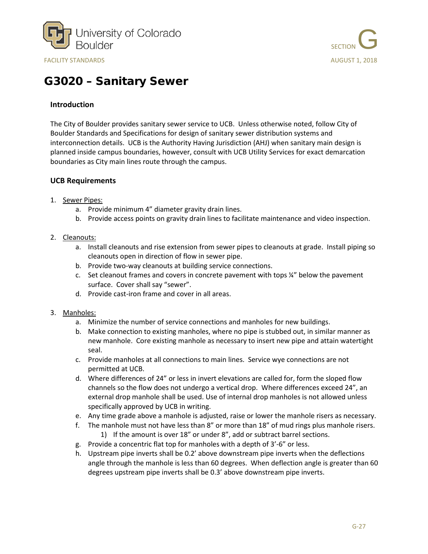



## <span id="page-26-0"></span>G3020 – Sanitary Sewer

### **Introduction**

The City of Boulder provides sanitary sewer service to UCB. Unless otherwise noted, follow City of Boulder Standards and Specifications for design of sanitary sewer distribution systems and interconnection details. UCB is the Authority Having Jurisdiction (AHJ) when sanitary main design is planned inside campus boundaries, however, consult with UCB Utility Services for exact demarcation boundaries as City main lines route through the campus.

- 1. Sewer Pipes:
	- a. Provide minimum 4" diameter gravity drain lines.
	- b. Provide access points on gravity drain lines to facilitate maintenance and video inspection.
- 2. Cleanouts:
	- a. Install cleanouts and rise extension from sewer pipes to cleanouts at grade. Install piping so cleanouts open in direction of flow in sewer pipe.
	- b. Provide two-way cleanouts at building service connections.
	- c. Set cleanout frames and covers in concrete pavement with tops  $\frac{1}{4}$ " below the pavement surface. Cover shall say "sewer".
	- d. Provide cast-iron frame and cover in all areas.
- 3. Manholes:
	- a. Minimize the number of service connections and manholes for new buildings.
	- b. Make connection to existing manholes, where no pipe is stubbed out, in similar manner as new manhole. Core existing manhole as necessary to insert new pipe and attain watertight seal.
	- c. Provide manholes at all connections to main lines. Service wye connections are not permitted at UCB.
	- d. Where differences of 24" or less in invert elevations are called for, form the sloped flow channels so the flow does not undergo a vertical drop. Where differences exceed 24", an external drop manhole shall be used. Use of internal drop manholes is not allowed unless specifically approved by UCB in writing.
	- e. Any time grade above a manhole is adjusted, raise or lower the manhole risers as necessary.
	- f. The manhole must not have less than 8" or more than 18" of mud rings plus manhole risers. 1) If the amount is over 18" or under 8", add or subtract barrel sections.
	- g. Provide a concentric flat top for manholes with a depth of 3'-6" or less.
	- h. Upstream pipe inverts shall be 0.2' above downstream pipe inverts when the deflections angle through the manhole is less than 60 degrees. When deflection angle is greater than 60 degrees upstream pipe inverts shall be 0.3' above downstream pipe inverts.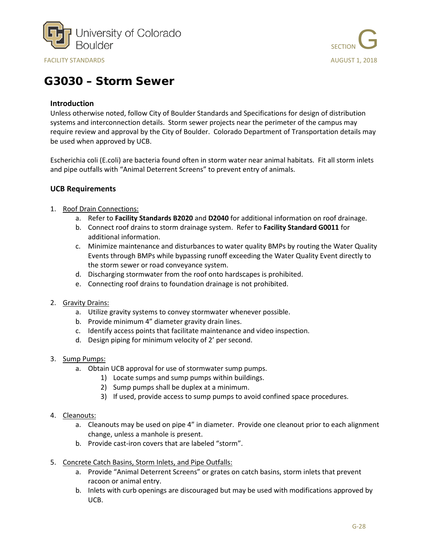



## <span id="page-27-0"></span>G3030 – Storm Sewer

### **Introduction**

Unless otherwise noted, follow City of Boulder Standards and Specifications for design of distribution systems and interconnection details. Storm sewer projects near the perimeter of the campus may require review and approval by the City of Boulder. Colorado Department of Transportation details may be used when approved by UCB.

Escherichia coli (E.coli) are bacteria found often in storm water near animal habitats. Fit all storm inlets and pipe outfalls with "Animal Deterrent Screens" to prevent entry of animals.

- 1. Roof Drain Connections:
	- a. Refer to **Facility Standards B2020** and **D2040** for additional information on roof drainage.
	- b. Connect roof drains to storm drainage system. Refer to **Facility Standard G0011** for additional information.
	- c. Minimize maintenance and disturbances to water quality BMPs by routing the Water Quality Events through BMPs while bypassing runoff exceeding the Water Quality Event directly to the storm sewer or road conveyance system.
	- d. Discharging stormwater from the roof onto hardscapes is prohibited.
	- e. Connecting roof drains to foundation drainage is not prohibited.
- 2. Gravity Drains:
	- a. Utilize gravity systems to convey stormwater whenever possible.
	- b. Provide minimum 4" diameter gravity drain lines.
	- c. Identify access points that facilitate maintenance and video inspection.
	- d. Design piping for minimum velocity of 2' per second.
- 3. Sump Pumps:
	- a. Obtain UCB approval for use of stormwater sump pumps.
		- 1) Locate sumps and sump pumps within buildings.
			- 2) Sump pumps shall be duplex at a minimum.
			- 3) If used, provide access to sump pumps to avoid confined space procedures.
- 4. Cleanouts:
	- a. Cleanouts may be used on pipe 4" in diameter. Provide one cleanout prior to each alignment change, unless a manhole is present.
	- b. Provide cast-iron covers that are labeled "storm".
- 5. Concrete Catch Basins, Storm Inlets, and Pipe Outfalls:
	- a. Provide "Animal Deterrent Screens" or grates on catch basins, storm inlets that prevent racoon or animal entry.
	- b. Inlets with curb openings are discouraged but may be used with modifications approved by UCB.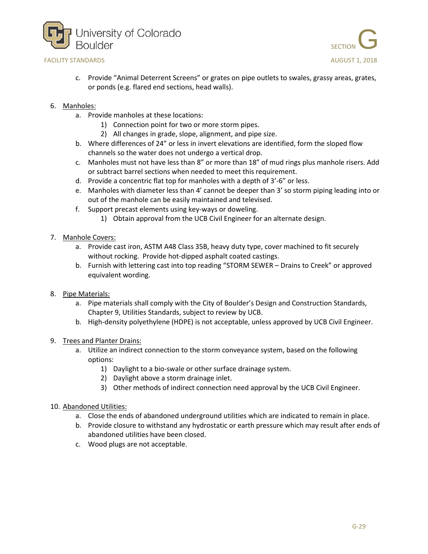



- c. Provide "Animal Deterrent Screens" or grates on pipe outlets to swales, grassy areas, grates, or ponds (e.g. flared end sections, head walls).
- 6. Manholes:
	- a. Provide manholes at these locations:
		- 1) Connection point for two or more storm pipes.
		- 2) All changes in grade, slope, alignment, and pipe size.
	- b. Where differences of 24" or less in invert elevations are identified, form the sloped flow channels so the water does not undergo a vertical drop.
	- c. Manholes must not have less than 8" or more than 18" of mud rings plus manhole risers. Add or subtract barrel sections when needed to meet this requirement.
	- d. Provide a concentric flat top for manholes with a depth of 3'-6" or less.
	- e. Manholes with diameter less than 4' cannot be deeper than 3' so storm piping leading into or out of the manhole can be easily maintained and televised.
	- f. Support precast elements using key-ways or doweling.
		- 1) Obtain approval from the UCB Civil Engineer for an alternate design.
- 7. Manhole Covers:
	- a. Provide cast iron, ASTM A48 Class 35B, heavy duty type, cover machined to fit securely without rocking. Provide hot-dipped asphalt coated castings.
	- b. Furnish with lettering cast into top reading "STORM SEWER Drains to Creek" or approved equivalent wording.
- 8. Pipe Materials:
	- a. Pipe materials shall comply with the City of Boulder's Design and Construction Standards, Chapter 9, Utilities Standards, subject to review by UCB.
	- b. High-density polyethylene (HDPE) is not acceptable, unless approved by UCB Civil Engineer.
- 9. Trees and Planter Drains:
	- a. Utilize an indirect connection to the storm conveyance system, based on the following options:
		- 1) Daylight to a bio-swale or other surface drainage system.
		- 2) Daylight above a storm drainage inlet.
		- 3) Other methods of indirect connection need approval by the UCB Civil Engineer.
- 10. Abandoned Utilities:
	- a. Close the ends of abandoned underground utilities which are indicated to remain in place.
	- b. Provide closure to withstand any hydrostatic or earth pressure which may result after ends of abandoned utilities have been closed.
	- c. Wood plugs are not acceptable.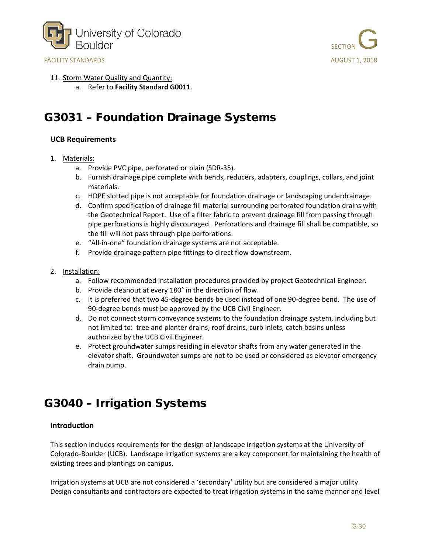



- 11. Storm Water Quality and Quantity:
	- a. Refer to **Facility Standard G0011**.

## <span id="page-29-0"></span>G3031 – Foundation Drainage Systems

#### **UCB Requirements**

- 1. Materials:
	- a. Provide PVC pipe, perforated or plain (SDR-35).
	- b. Furnish drainage pipe complete with bends, reducers, adapters, couplings, collars, and joint materials.
	- c. HDPE slotted pipe is not acceptable for foundation drainage or landscaping underdrainage.
	- d. Confirm specification of drainage fill material surrounding perforated foundation drains with the Geotechnical Report. Use of a filter fabric to prevent drainage fill from passing through pipe perforations is highly discouraged. Perforations and drainage fill shall be compatible, so the fill will not pass through pipe perforations.
	- e. "All-in-one" foundation drainage systems are not acceptable.
	- f. Provide drainage pattern pipe fittings to direct flow downstream.
- 2. Installation:
	- a. Follow recommended installation procedures provided by project Geotechnical Engineer.
	- b. Provide cleanout at every 180° in the direction of flow.
	- c. It is preferred that two 45-degree bends be used instead of one 90-degree bend. The use of 90-degree bends must be approved by the UCB Civil Engineer.
	- d. Do not connect storm conveyance systems to the foundation drainage system, including but not limited to: tree and planter drains, roof drains, curb inlets, catch basins unless authorized by the UCB Civil Engineer.
	- e. Protect groundwater sumps residing in elevator shafts from any water generated in the elevator shaft. Groundwater sumps are not to be used or considered as elevator emergency drain pump.

### <span id="page-29-1"></span>G3040 – Irrigation Systems

#### **Introduction**

This section includes requirements for the design of landscape irrigation systems at the University of Colorado-Boulder (UCB). Landscape irrigation systems are a key component for maintaining the health of existing trees and plantings on campus.

Irrigation systems at UCB are not considered a 'secondary' utility but are considered a major utility. Design consultants and contractors are expected to treat irrigation systems in the same manner and level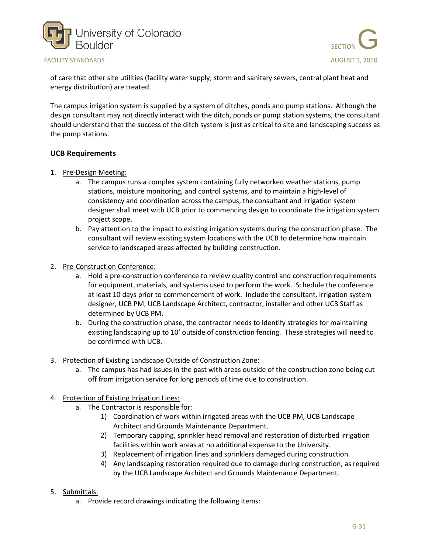



of care that other site utilities (facility water supply, storm and sanitary sewers, central plant heat and energy distribution) are treated.

The campus irrigation system is supplied by a system of ditches, ponds and pump stations. Although the design consultant may not directly interact with the ditch, ponds or pump station systems, the consultant should understand that the success of the ditch system is just as critical to site and landscaping success as the pump stations.

#### **UCB Requirements**

- 1. Pre-Design Meeting:
	- a. The campus runs a complex system containing fully networked weather stations, pump stations, moisture monitoring, and control systems, and to maintain a high-level of consistency and coordination across the campus, the consultant and irrigation system designer shall meet with UCB prior to commencing design to coordinate the irrigation system project scope.
	- b. Pay attention to the impact to existing irrigation systems during the construction phase. The consultant will review existing system locations with the UCB to determine how maintain service to landscaped areas affected by building construction.
- 2. Pre-Construction Conference:
	- a. Hold a pre-construction conference to review quality control and construction requirements for equipment, materials, and systems used to perform the work. Schedule the conference at least 10 days prior to commencement of work. Include the consultant, irrigation system designer, UCB PM, UCB Landscape Architect, contractor, installer and other UCB Staff as determined by UCB PM.
	- b. During the construction phase, the contractor needs to identify strategies for maintaining existing landscaping up to 10' outside of construction fencing. These strategies will need to be confirmed with UCB.
- 3. Protection of Existing Landscape Outside of Construction Zone:
	- a. The campus has had issues in the past with areas outside of the construction zone being cut off from irrigation service for long periods of time due to construction.

#### 4. Protection of Existing Irrigation Lines:

- a. The Contractor is responsible for:
	- 1) Coordination of work within irrigated areas with the UCB PM, UCB Landscape Architect and Grounds Maintenance Department.
	- 2) Temporary capping, sprinkler head removal and restoration of disturbed irrigation facilities within work areas at no additional expense to the University.
	- 3) Replacement of irrigation lines and sprinklers damaged during construction.
	- 4) Any landscaping restoration required due to damage during construction, as required by the UCB Landscape Architect and Grounds Maintenance Department.
- 5. Submittals:
	- a. Provide record drawings indicating the following items: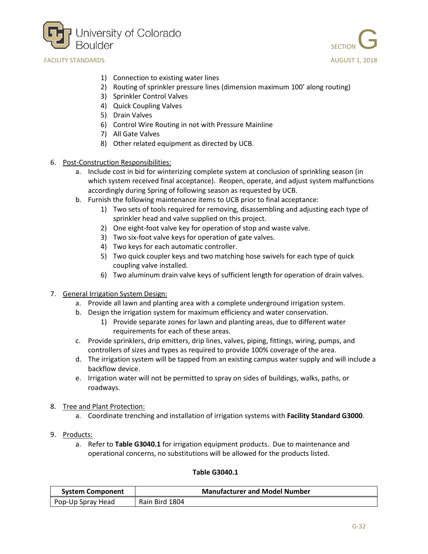





- 1) Connection to existing water lines
- 2) Routing of sprinkler pressure lines (dimension maximum 100' along routing)
- 3) Sprinkler Control Valves
- 4) Quick Coupling Valves
- 5) Drain Valves
- 6) Control Wire Routing in not with Pressure Mainline
- 7) All Gate Valves
- 8) Other related equipment as directed by UCB.
- 6. Post-Construction Responsibilities:
	- a. Include cost in bid for winterizing complete system at conclusion of sprinkling season (in which system received final acceptance). Reopen, operate, and adjust system malfunctions accordingly during Spring of following season as requested by UCB.
	- b. Furnish the following maintenance items to UCB prior to final acceptance:
		- 1) Two sets of tools required for removing, disassembling and adjusting each type of sprinkler head and valve supplied on this project.
		- 2) One eight-foot valve key for operation of stop and waste valve.
		- 3) Two six-foot valve keys for operation of gate valves.
		- 4) Two keys for each automatic controller.
		- 5) Two quick coupler keys and two matching hose swivels for each type of quick coupling valve installed.
		- 6) Two aluminum drain valve keys of sufficient length for operation of drain valves.
- 7. General Irrigation System Design:
	- a. Provide all lawn and planting area with a complete underground irrigation system.
	- b. Design the irrigation system for maximum efficiency and water conservation.
		- 1) Provide separate zones for lawn and planting areas, due to different water requirements for each of these areas.
	- c. Provide sprinklers, drip emitters, drip lines, valves, piping, fittings, wiring, pumps, and controllers of sizes and types as required to provide 100% coverage of the area.
	- d. The irrigation system will be tapped from an existing campus water supply and will include a backflow device.
	- e. Irrigation water will not be permitted to spray on sides of buildings, walks, paths, or roadways.
- 8. Tree and Plant Protection:
	- a. Coordinate trenching and installation of irrigation systems with **Facility Standard G3000**.
- 9. Products:
	- a. Refer to **Table G3040.1** for irrigation equipment products. Due to maintenance and operational concerns, no substitutions will be allowed for the products listed.

#### **Table G3040.1**

| <b>System Component</b> | <b>Manufacturer and Model Number</b> |
|-------------------------|--------------------------------------|
| Pop-Up Spray Head       | Rain Bird 1804                       |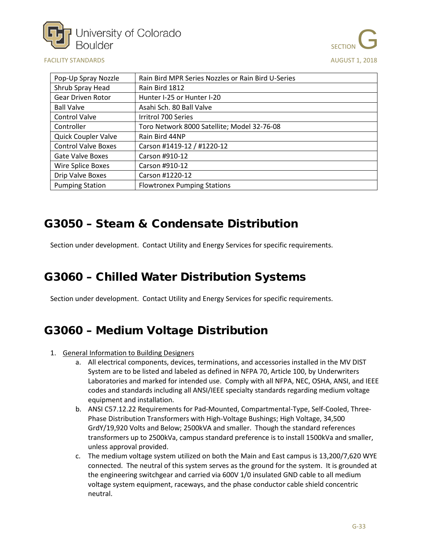



| Pop-Up Spray Nozzle        | Rain Bird MPR Series Nozzles or Rain Bird U-Series |
|----------------------------|----------------------------------------------------|
| Shrub Spray Head           | Rain Bird 1812                                     |
| <b>Gear Driven Rotor</b>   | Hunter I-25 or Hunter I-20                         |
| <b>Ball Valve</b>          | Asahi Sch. 80 Ball Valve                           |
| <b>Control Valve</b>       | Irritrol 700 Series                                |
| Controller                 | Toro Network 8000 Satellite; Model 32-76-08        |
| Quick Coupler Valve        | Rain Bird 44NP                                     |
| <b>Control Valve Boxes</b> | Carson #1419-12 / #1220-12                         |
| <b>Gate Valve Boxes</b>    | Carson #910-12                                     |
| Wire Splice Boxes          | Carson #910-12                                     |
| Drip Valve Boxes           | Carson #1220-12                                    |
| <b>Pumping Station</b>     | <b>Flowtronex Pumping Stations</b>                 |

## <span id="page-32-0"></span>G3050 – Steam & Condensate Distribution

Section under development. Contact Utility and Energy Services for specific requirements.

## <span id="page-32-1"></span>G3060 – Chilled Water Distribution Systems

Section under development. Contact Utility and Energy Services for specific requirements.

## <span id="page-32-2"></span>G3060 – Medium Voltage Distribution

- 1. General Information to Building Designers
	- a. All electrical components, devices, terminations, and accessories installed in the MV DIST System are to be listed and labeled as defined in NFPA 70, Article 100, by Underwriters Laboratories and marked for intended use. Comply with all NFPA, NEC, OSHA, ANSI, and IEEE codes and standards including all ANSI/IEEE specialty standards regarding medium voltage equipment and installation.
	- b. ANSI C57.12.22 Requirements for Pad-Mounted, Compartmental-Type, Self-Cooled, Three-Phase Distribution Transformers with High-Voltage Bushings; High Voltage, 34,500 GrdY/19,920 Volts and Below; 2500kVA and smaller. Though the standard references transformers up to 2500kVa, campus standard preference is to install 1500kVa and smaller, unless approval provided.
	- c. The medium voltage system utilized on both the Main and East campus is 13,200/7,620 WYE connected. The neutral of this system serves as the ground for the system. It is grounded at the engineering switchgear and carried via 600V 1/0 insulated GND cable to all medium voltage system equipment, raceways, and the phase conductor cable shield concentric neutral.